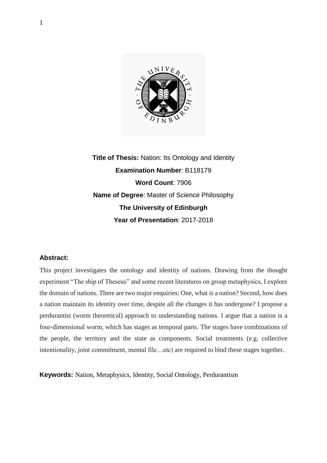

**Title of Thesis:** Nation: Its Ontology and Identity **Examination Number**: B118179 **Word Count**: 7906 **Name of Degree**: Master of Science Philosophy **The University of Edinburgh Year of Presentation**: 2017-2018

## **Abstract:**

This project investigates the ontology and identity of nations. Drawing from the thought experiment "The ship of Theseus" and some recent literatures on group metaphysics, I explore the domain of nations. There are two major enquiries: One, what *is* a nation? Second, how does a nation maintain its identity over time, despite all the changes it has undergone? I propose a perdurantist (worm theoretical) approach to understanding nations. I argue that a nation is a four-dimensional worm, which has stages as temporal parts. The stages have combinations of the people, the territory and the state as components. Social treatments (e.g. collective intentionality, joint commitment, mental file…etc) are required to bind these stages together.

**Keywords:** Nation, Metaphysics, Identity, Social Ontology, Perdurantism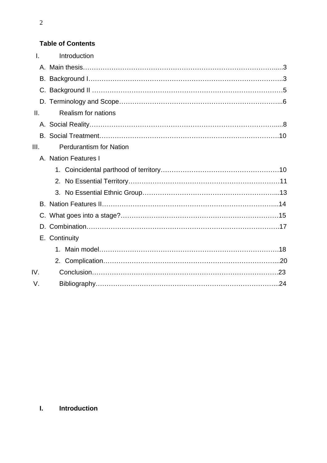## **Table of Contents**

| $\mathsf{L}$ | Introduction                   |  |
|--------------|--------------------------------|--|
|              |                                |  |
|              |                                |  |
|              |                                |  |
|              |                                |  |
| II.          | <b>Realism for nations</b>     |  |
|              |                                |  |
|              |                                |  |
| III.         | <b>Perdurantism for Nation</b> |  |
|              | A. Nation Features I           |  |
|              |                                |  |
|              |                                |  |
|              |                                |  |
|              |                                |  |
|              |                                |  |
|              |                                |  |
|              | E. Continuity                  |  |
|              |                                |  |
|              |                                |  |
| IV.          |                                |  |
| V.           |                                |  |

## 2

# **I. Introduction**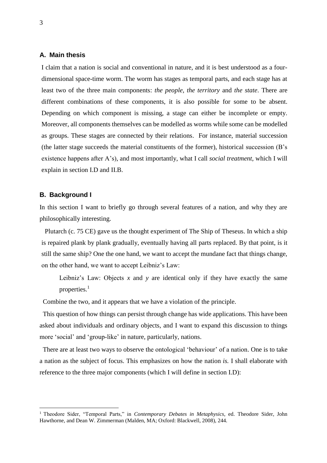## **A. Main thesis**

I claim that a nation is social and conventional in nature, and it is best understood as a fourdimensional space-time worm. The worm has stages as temporal parts, and each stage has at least two of the three main components: *the people*, *the territory* and *the state*. There are different combinations of these components, it is also possible for some to be absent. Depending on which component is missing, a stage can either be incomplete or empty. Moreover, all components themselves can be modelled as worms while some can be modelled as groups. These stages are connected by their relations. For instance, material succession (the latter stage succeeds the material constituents of the former), historical succession (B's existence happens after A's), and most importantly, what I call *social treatment*, which I will explain in section I.D and II.B.

#### **B. Background I**

1

In this section I want to briefly go through several features of a nation, and why they are philosophically interesting.

 Plutarch (c. 75 CE) gave us the thought experiment of The Ship of Theseus. In which a ship is repaired plank by plank gradually, eventually having all parts replaced. By that point, is it still the same ship? One the one hand, we want to accept the mundane fact that things change, on the other hand, we want to accept Leibniz's Law:

Leibniz's Law: Objects  $x$  and  $y$  are identical only if they have exactly the same properties. $<sup>1</sup>$ </sup>

Combine the two, and it appears that we have a violation of the principle.

 This question of how things can persist through change has wide applications. This have been asked about individuals and ordinary objects, and I want to expand this discussion to things more 'social' and 'group-like' in nature, particularly, nations.

 There are at least two ways to observe the ontological 'behaviour' of a nation. One is to take a nation as the subject of focus. This emphasizes on how the nation *is.* I shall elaborate with reference to the three major components (which I will define in section I.D):

<sup>1</sup> Theodore Sider, "Temporal Parts," in *Contemporary Debates in Metaphysics*, ed. Theodore Sider, John Hawthorne, and Dean W. Zimmerman (Malden, MA; Oxford: Blackwell, 2008), 244.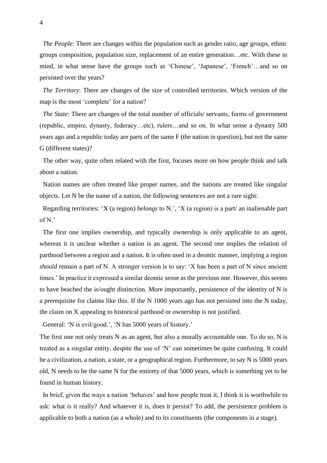*The People*: There are changes within the population such as gender ratio, age groups, ethnic groups composition, population size, replacement of an entire generation…etc. With these in mind, in what sense have the groups such as 'Chinese', 'Japanese', 'French'…and so on persisted over the years?

*The Territory*: There are changes of the size of controlled territories. Which version of the map is the most 'complete' for a nation?

 *The State*: There are changes of the total number of officials/ servants, forms of government (republic, empire, dynasty, federacy…etc), rulers…and so on. In what sense a dynasty 500 years ago and a republic today are parts of the same F (the nation in question), but not the same G (different states)?

 The other way, quite often related with the first, focuses more on how people think and talk about a nation.

 Nation names are often treated like proper names, and the nations are treated like singular objects. Let N be the name of a nation, the following sentences are not a rare sight:

 Regarding territories: 'X (a region) *belongs* to N.', 'X (a region) is a part/ an inalienable part of N.'

 The first one implies ownership, and typically ownership is only applicable to an agent, whereas it is unclear whether a nation is an agent. The second one implies the relation of parthood between a region and a nation. It is often used in a deontic manner, implying a region *should* remain a part of N. A stronger version is to say: 'X has been a part of N since ancient times.' In practice it expressed a similar deontic sense as the previous one. However, this seems to have beached the is/ought distinction. More importantly, persistence of the identity of N is a prerequisite for claims like this. If the N 1000 years ago has not persisted into the N today, the claim on X appealing to historical parthood or ownership is not justified.

General: 'N is evil/good.', 'N has 5000 years of history.'

The first one not only treats N as an agent, but also a morally accountable one. To do so, N is treated as a singular entity, despite the use of 'N' can sometimes be quite confusing. It could be a civilization, a nation, a state, or a geographical region. Furthermore, to say N is 5000 years old, N needs to be the same N for the entirety of that 5000 years, which is something yet to be found in human history.

 In brief, given the ways a nation 'behaves' and how people treat it, I think it is worthwhile to ask: what *is* it really? And whatever it is, does it persist? To add, the persistence problem is applicable to both a nation (as a whole) and to its constituents (the components in a stage).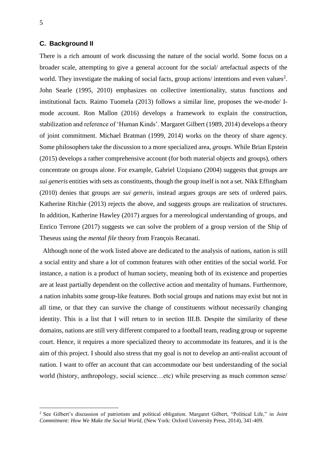#### **C. Background II**

There is a rich amount of work discussing the nature of the social world. Some focus on a broader scale, attempting to give a general account for the social/ artefactual aspects of the world. They investigate the making of social facts, group actions/ intentions and even values<sup>2</sup>. John Searle (1995, 2010) emphasizes on collective intentionality, status functions and institutional facts. Raimo Tuomela (2013) follows a similar line, proposes the we-mode/ Imode account. Ron Mallon (2016) develops a framework to explain the construction, stabilization and reference of 'Human Kinds'. Margaret Gilbert (1989, 2014) develops a theory of joint commitment. Michael Bratman (1999, 2014) works on the theory of share agency. Some philosophers take the discussion to a more specialized area, *groups*. While Brian Epstein (2015) develops a rather comprehensive account (for both material objects and groups), others concentrate on groups alone. For example, Gabriel Uzquiano (2004) suggests that groups are *sui generis* entities with sets as constituents, though the group itself is not a set. Nikk Effingham (2010) denies that groups are *sui generis*, instead argues groups are sets of ordered pairs. Katherine Ritchie (2013) rejects the above, and suggests groups are realization of structures. In addition, Katherine Hawley (2017) argues for a mereological understanding of groups, and Enrico Terrone (2017) suggests we can solve the problem of a group version of the Ship of Theseus using the *mental file* theory from François Recanati.

 Although none of the work listed above are dedicated to the analysis of nations, nation is still a social entity and share a lot of common features with other entities of the social world. For instance, a nation is a product of human society, meaning both of its existence and properties are at least partially dependent on the collective action and mentality of humans. Furthermore, a nation inhabits some group-like features. Both social groups and nations may exist but not in all time, or that they can survive the change of constituents without necessarily changing identity. This is a list that I will return to in section III.B. Despite the similarity of these domains, nations are still very different compared to a football team, reading group or supreme court. Hence, it requires a more specialized theory to accommodate its features, and it is the aim of this project. I should also stress that my goal is not to develop an anti-realist account of nation. I want to offer an account that can accommodate our best understanding of the social world (history, anthropology, social science…etc) while preserving as much common sense/

<sup>2</sup> See Gilbert's discussion of patriotism and political obligation. Margaret Gilbert, "Political Life," in *Joint Commitment: How We Make the Social World,* (New York: Oxford University Press, 2014), 341-409.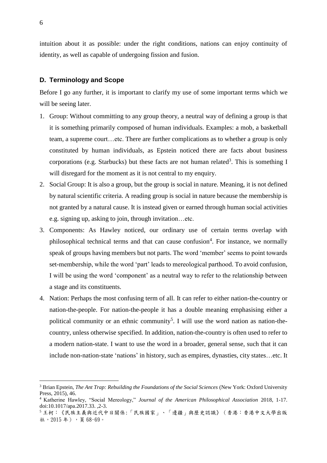intuition about it as possible: under the right conditions, nations can enjoy continuity of identity, as well as capable of undergoing fission and fusion.

#### **D. Terminology and Scope**

Before I go any further, it is important to clarify my use of some important terms which we will be seeing later.

- 1. Group: Without committing to any group theory, a neutral way of defining a group is that it is something primarily composed of human individuals. Examples: a mob, a basketball team, a supreme court…etc. There are further complications as to whether a group is only constituted by human individuals, as Epstein noticed there are facts about business corporations (e.g. Starbucks) but these facts are not human related<sup>3</sup>. This is something I will disregard for the moment as it is not central to my enquiry.
- 2. Social Group: It is also a group, but the group is social in nature. Meaning, it is not defined by natural scientific criteria. A reading group is social in nature because the membership is not granted by a natural cause. It is instead given or earned through human social activities e.g. signing up, asking to join, through invitation…etc.
- 3. Components: As Hawley noticed, our ordinary use of certain terms overlap with philosophical technical terms and that can cause confusion<sup>4</sup>. For instance, we normally speak of groups having members but not parts. The word 'member' seems to point towards set-membership, while the word 'part' leads to mereological parthood. To avoid confusion, I will be using the word 'component' as a neutral way to refer to the relationship between a stage and its constituents.
- 4. Nation: Perhaps the most confusing term of all. It can refer to either nation-the-country or nation-the-people. For nation-the-people it has a double meaning emphasising either a political community or an ethnic community<sup>5</sup>. I will use the word nation as nation-thecountry, unless otherwise specified. In addition, nation-the-country is often used to refer to a modern nation-state. I want to use the word in a broader, general sense, such that it can include non-nation-state 'nations' in history, such as empires, dynasties, city states…etc. It

<sup>3</sup> Brian Epstein, *The Ant Trap: Rebuilding the Foundations of the Social Sciences* (New York: Oxford University Press, 2015), 46.

<sup>4</sup> Katherine Hawley, "Social Mereology," *Journal of the American Philosophical Association* 2018, 1-17. doi:10.1017/apa.2017.33. ,2-3.

<sup>5</sup> 王柯:《民族主義與近代中日關係:「民族國家」、「邊疆」與歷史認識》(香港:香港中文大學出版 社,2015 年),頁 68-69。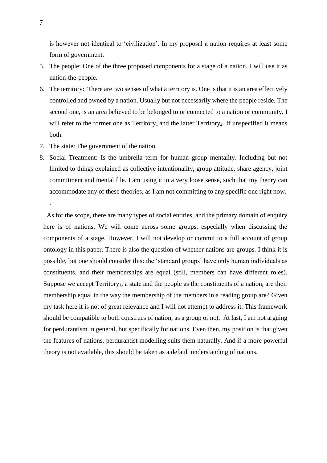is however not identical to 'civilization'. In my proposal a nation requires at least some form of government.

- 5. The people: One of the three proposed components for a stage of a nation. I will use it as nation-the-people.
- 6. The territory: There are two senses of what a territory is. One is that it is an area effectively controlled and owned by a nation. Usually but not necessarily where the people reside. The second one, is an area believed to be belonged to or connected to a nation or community. I will refer to the former one as  $T$ erritory<sub>1</sub> and the latter  $T$ erritory<sub>2</sub>. If unspecified it means both.
- 7. The state: The government of the nation.
- 8. Social Treatment: Is the umbrella term for human group mentality. Including but not limited to things explained as collective intentionality, group attitude, share agency, joint commitment and mental file. I am using it in a very loose sense, such that my theory can accommodate any of these theories, as I am not committing to any specific one right now.

 As for the scope, there are many types of social entities, and the primary domain of enquiry here is of nations. We will come across some groups, especially when discussing the components of a stage. However, I will not develop or commit to a full account of group ontology in this paper. There is also the question of whether nations are groups. I think it is possible, but one should consider this: the 'standard groups' have only human individuals as constituents, and their memberships are equal (still, members can have different roles). Suppose we accept Territory<sub>1</sub>, a state and the people as the constituents of a nation, are their membership equal in the way the membership of the members in a reading group are? Given my task here it is not of great relevance and I will not attempt to address it. This framework should be compatible to both construes of nation, as a group or not. At last, I am not arguing for perdurantism in general, but specifically for nations. Even then, my position is that given the features of nations, perdurantist modelling suits them naturally. And if a more powerful theory is not available, this should be taken as a default understanding of nations.

.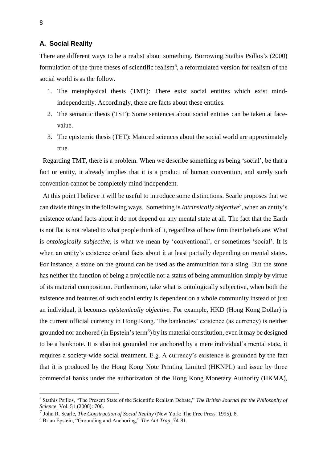### **A. Social Reality**

There are different ways to be a realist about something. Borrowing Stathis Psillos's (2000) formulation of the three theses of scientific realism<sup>6</sup>, a reformulated version for realism of the social world is as the follow.

- 1. The metaphysical thesis (TMT): There exist social entities which exist mindindependently. Accordingly, there are facts about these entities.
- 2. The semantic thesis (TST): Some sentences about social entities can be taken at facevalue.
- 3. The epistemic thesis (TET): Matured sciences about the social world are approximately true.

 Regarding TMT, there is a problem. When we describe something as being 'social', be that a fact or entity, it already implies that it is a product of human convention, and surely such convention cannot be completely mind-independent.

 At this point I believe it will be useful to introduce some distinctions. Searle proposes that we can divide things in the following ways. Something is *Intrinsically objective<sup>7</sup>* , when an entity's existence or/and facts about it do not depend on any mental state at all. The fact that the Earth is not flat is not related to what people think of it, regardless of how firm their beliefs are. What is *ontologically subjective*, is what we mean by 'conventional', or sometimes 'social'. It is when an entity's existence or/and facts about it at least partially depending on mental states. For instance, a stone on the ground can be used as the ammunition for a sling. But the stone has neither the function of being a projectile nor a status of being ammunition simply by virtue of its material composition. Furthermore, take what is ontologically subjective, when both the existence and features of such social entity is dependent on a whole community instead of just an individual, it becomes *epistemically objective*. For example, HKD (Hong Kong Dollar) is the current official currency in Hong Kong. The banknotes' existence (as currency) is neither grounded nor anchored (in Epstein's term<sup>8</sup>) by its material constitution, even it may be designed to be a banknote. It is also not grounded nor anchored by a mere individual's mental state, it requires a society-wide social treatment. E.g. A currency's existence is grounded by the fact that it is produced by the Hong Kong Note Printing Limited (HKNPL) and issue by three commercial banks under the authorization of the Hong Kong Monetary Authority (HKMA),

<sup>6</sup> Stathis Psillos, "The Present State of the Scientific Realism Debate," *The British Journal for the Philosophy of Science*, Vol. 51 (2000): 706.

<sup>7</sup> John R. Searle, *The Construction of Social Reality* (New York: The Free Press, 1995), 8.

<sup>8</sup> Brian Epstein, "Grounding and Anchoring," *The Ant Trap*, 74-81.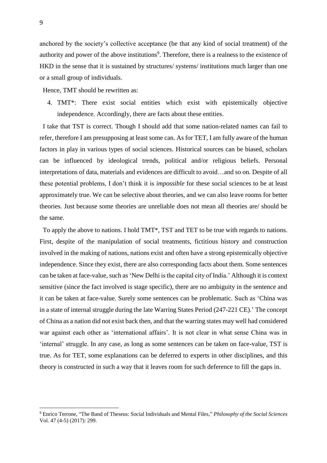anchored by the society's collective acceptance (be that any kind of social treatment) of the authority and power of the above institutions<sup>9</sup>. Therefore, there is a realness to the existence of HKD in the sense that it is sustained by structures/ systems/ institutions much larger than one or a small group of individuals.

Hence, TMT should be rewritten as:

4. TMT\*: There exist social entities which exist with epistemically objective independence. Accordingly, there are facts about these entities.

 I take that TST is correct. Though I should add that some nation-related names can fail to refer, therefore I am presupposing at least some can. As for TET, I am fully aware of the human factors in play in various types of social sciences. Historical sources can be biased, scholars can be influenced by ideological trends, political and/or religious beliefs. Personal interpretations of data, materials and evidences are difficult to avoid…and so on. Despite of all these potential problems, I don't think it is *impossible* for these social sciences to be at least approximately true. We can be selective about theories, and we can also leave rooms for better theories. Just because some theories are unreliable does not mean all theories are/ should be the same.

 To apply the above to nations. I hold TMT\*, TST and TET to be true with regards to nations. First, despite of the manipulation of social treatments, fictitious history and construction involved in the making of nations, nations exist and often have a strong epistemically objective independence. Since they exist, there are also corresponding facts about them. Some sentences can be taken at face-value, such as 'New Delhi is the capital city of India.' Although it is context sensitive (since the fact involved is stage specific), there are no ambiguity in the sentence and it can be taken at face-value. Surely some sentences can be problematic. Such as 'China was in a state of internal struggle during the late Warring States Period (247-221 CE).' The concept of China as a nation did not exist back then, and that the warring states may well had considered war against each other as 'international affairs'. It is not clear in what sense China was in 'internal' struggle. In any case, as long as some sentences can be taken on face-value, TST is true. As for TET, some explanations can be deferred to experts in other disciplines, and this theory is constructed in such a way that it leaves room for such deference to fill the gaps in.

<sup>9</sup> Enrico Terrone, "The Band of Theseus: Social Individuals and Mental Files," *Philosophy of the Social Sciences*  Vol. 47 (4-5) (2017): 299.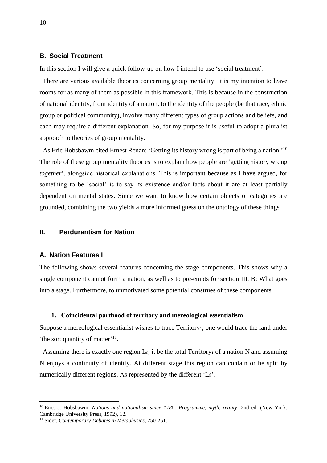#### **B. Social Treatment**

In this section I will give a quick follow-up on how I intend to use 'social treatment'.

 There are various available theories concerning group mentality. It is my intention to leave rooms for as many of them as possible in this framework. This is because in the construction of national identity, from identity of a nation, to the identity of the people (be that race, ethnic group or political community), involve many different types of group actions and beliefs, and each may require a different explanation. So, for my purpose it is useful to adopt a pluralist approach to theories of group mentality.

As Eric Hobsbawm cited Ernest Renan: 'Getting its history wrong is part of being a nation.'<sup>10</sup> The role of these group mentality theories is to explain how people are 'getting history wrong *together*', alongside historical explanations. This is important because as I have argued, for something to be 'social' is to say its existence and/or facts about it are at least partially dependent on mental states. Since we want to know how certain objects or categories are grounded, combining the two yields a more informed guess on the ontology of these things.

## **II. Perdurantism for Nation**

#### **A. Nation Features I**

<u>.</u>

The following shows several features concerning the stage components. This shows why a single component cannot form a nation, as well as to pre-empts for section III. B: What goes into a stage. Furthermore, to unmotivated some potential construes of these components.

#### **1. Coincidental parthood of territory and mereological essentialism**

Suppose a mereological essentialist wishes to trace  $T$ erritory<sub>1</sub>, one would trace the land under 'the sort quantity of matter'<sup>11</sup>.

Assuming there is exactly one region  $L_0$ , it be the total Territory<sub>1</sub> of a nation N and assuming N enjoys a continuity of identity. At different stage this region can contain or be split by numerically different regions. As represented by the different 'Ls'.

<sup>10</sup> Eric. J. Hobsbawm, *Nations and nationalism since 1780: Programme, myth, reality,* 2nd ed*.* (New York: Cambridge University Press, 1992), 12.

<sup>11</sup> Sider, *Contemporary Debates in Metaphysics,* 250-251.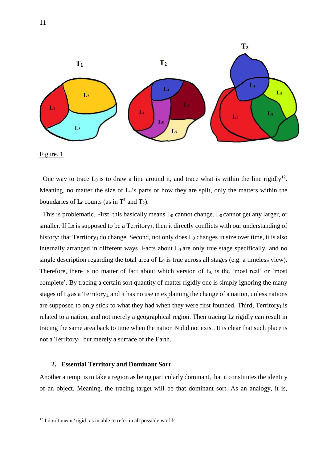

Figure. 1

1

One way to trace  $L_0$  is to draw a line around it, and trace what is within the line rigidly<sup>12</sup>. Meaning, no matter the size of  $L_0$ 's parts or how they are split, only the matters within the boundaries of  $L_0$  counts (as in  $T^1$  and  $T_2$ ).

This is problematic. First, this basically means  $L_0$  cannot change.  $L_0$  cannot get any larger, or smaller. If  $L_0$  is supposed to be a Territory<sub>1</sub>, then it directly conflicts with our understanding of history: that Territory<sub>1</sub> do change. Second, not only does L<sub>0</sub> changes in size over time, it is also internally arranged in different ways. Facts about  $L_0$  are only true stage specifically, and no single description regarding the total area of  $L_0$  is true across all stages (e.g. a timeless view). Therefore, there is no matter of fact about which version of  $L_0$  is the 'most real' or 'most complete'. By tracing a certain sort quantity of matter rigidly one is simply ignoring the many stages of  $L_0$  as a Territory<sub>1</sub>, and it has no use in explaining the change of a nation, unless nations are supposed to only stick to what they had when they were first founded. Third,  $T$ erritory<sub>1</sub> is related to a nation, and not merely a geographical region. Then tracing  $L_0$  rigidly can result in tracing the same area back to time when the nation N did not exist. It is clear that such place is not a Territory<sub>1</sub>, but merely a surface of the Earth.

#### **2. Essential Territory and Dominant Sort**

Another attempt is to take a region as being particularly dominant, that it constitutes the identity of an object. Meaning, the tracing target will be that dominant sort. As an analogy, it is,

 $12$  I don't mean 'rigid' as in able to refer in all possible worlds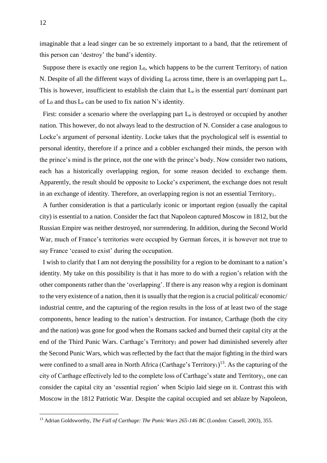imaginable that a lead singer can be so extremely important to a band, that the retirement of this person can 'destroy' the band's identity.

Suppose there is exactly one region  $L_0$ , which happens to be the current Territory<sub>1</sub> of nation N. Despite of all the different ways of dividing  $L_0$  across time, there is an overlapping part  $L_e$ . This is however, insufficient to establish the claim that  $L<sub>e</sub>$  is the essential part/ dominant part of  $L_0$  and thus  $L_e$  can be used to fix nation N's identity.

First: consider a scenario where the overlapping part  $L_e$  is destroyed or occupied by another nation. This however, do not always lead to the destruction of N. Consider a case analogous to Locke's argument of personal identity. Locke takes that the psychological self is essential to personal identity, therefore if a prince and a cobbler exchanged their minds, the person with the prince's mind is the prince, not the one with the prince's body. Now consider two nations, each has a historically overlapping region, for some reason decided to exchange them. Apparently, the result should be opposite to Locke's experiment, the exchange does not result in an exchange of identity. Therefore, an overlapping region is not an essential Territory<sub>1</sub>.

 A further consideration is that a particularly iconic or important region (usually the capital city) is essential to a nation. Consider the fact that Napoleon captured Moscow in 1812, but the Russian Empire was neither destroyed, nor surrendering. In addition, during the Second World War, much of France's territories were occupied by German forces, it is however not true to say France 'ceased to exist' during the occupation.

 I wish to clarify that I am not denying the possibility for a region to be dominant to a nation's identity. My take on this possibility is that it has more to do with a region's relation with the other components rather than the 'overlapping'. If there is any reason why a region is dominant to the very existence of a nation, then it is usually that the region is a crucial political/ economic/ industrial centre, and the capturing of the region results in the loss of at least two of the stage components, hence leading to the nation's destruction. For instance, Carthage (both the city and the nation) was gone for good when the Romans sacked and burned their capital city at the end of the Third Punic Wars. Carthage's Territory<sub>1</sub> and power had diminished severely after the Second Punic Wars, which was reflected by the fact that the major fighting in the third wars were confined to a small area in North Africa (Carthage's Territory<sub>1</sub>)<sup>13</sup>. As the capturing of the city of Carthage effectively led to the complete loss of Carthage's state and Territory<sub>1</sub>, one can consider the capital city an 'essential region' when Scipio laid siege on it. Contrast this with Moscow in the 1812 Patriotic War. Despite the capital occupied and set ablaze by Napoleon,

<sup>13</sup> Adrian Goldsworthy, *The Fall of Carthage: The Punic Wars 265-146 BC* (London: Cassell, 2003), 355.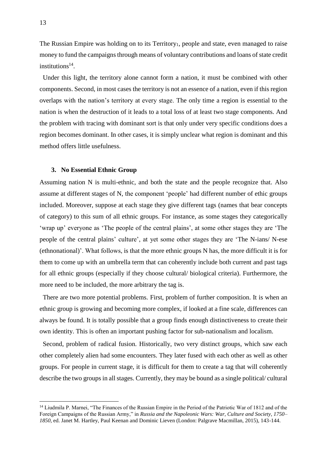The Russian Empire was holding on to its Territory<sub>1</sub>, people and state, even managed to raise money to fund the campaigns through means of voluntary contributions and loans of state credit institutions<sup>14</sup>.

 Under this light, the territory alone cannot form a nation, it must be combined with other components. Second, in most cases the territory is not an essence of a nation, even if this region overlaps with the nation's territory at every stage. The only time a region is essential to the nation is when the destruction of it leads to a total loss of at least two stage components. And the problem with tracing with dominant sort is that only under very specific conditions does a region becomes dominant. In other cases, it is simply unclear what region is dominant and this method offers little usefulness.

#### **3. No Essential Ethnic Group**

Assuming nation N is multi-ethnic, and both the state and the people recognize that. Also assume at different stages of N, the component 'people' had different number of ethic groups included. Moreover, suppose at each stage they give different tags (names that bear concepts of category) to this sum of all ethnic groups. For instance, as some stages they categorically 'wrap up' everyone as 'The people of the central plains', at some other stages they are 'The people of the central plains' culture', at yet some other stages they are 'The N-ians/ N-ese (ethnonational)'. What follows, is that the more ethnic groups N has, the more difficult it is for them to come up with an umbrella term that can coherently include both current and past tags for all ethnic groups (especially if they choose cultural/ biological criteria). Furthermore, the more need to be included, the more arbitrary the tag is.

 There are two more potential problems. First, problem of further composition. It is when an ethnic group is growing and becoming more complex, if looked at a fine scale, differences can always be found. It is totally possible that a group finds enough distinctiveness to create their own identity. This is often an important pushing factor for sub-nationalism and localism.

 Second, problem of radical fusion. Historically, two very distinct groups, which saw each other completely alien had some encounters. They later fused with each other as well as other groups. For people in current stage, it is difficult for them to create a tag that will coherently describe the two groups in all stages. Currently, they may be bound as a single political/ cultural

<u>.</u>

<sup>14</sup> Liudmila P. Marnei, "The Finances of the Russian Empire in the Period of the Patriotic War of 1812 and of the Foreign Campaigns of the Russian Army," in *Russia and the Napoleonic Wars: War, Culture and Society, 1750– 1850*, ed. Janet M. Hartley, Paul Keenan and Dominic Lieven (London: Palgrave Macmillan, 2015), 143-144.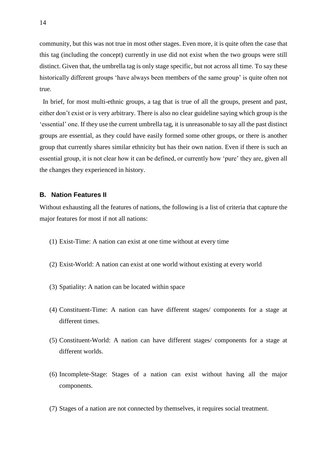community, but this was not true in most other stages. Even more, it is quite often the case that this tag (including the concept) currently in use did not exist when the two groups were still distinct. Given that, the umbrella tag is only stage specific, but not across all time. To say these historically different groups 'have always been members of the same group' is quite often not true.

 In brief, for most multi-ethnic groups, a tag that is true of all the groups, present and past, either don't exist or is very arbitrary. There is also no clear guideline saying which group is the 'essential' one. If they use the current umbrella tag, it is unreasonable to say all the past distinct groups are essential, as they could have easily formed some other groups, or there is another group that currently shares similar ethnicity but has their own nation. Even if there is such an essential group, it is not clear how it can be defined, or currently how 'pure' they are, given all the changes they experienced in history.

#### **B. Nation Features II**

Without exhausting all the features of nations, the following is a list of criteria that capture the major features for most if not all nations:

- (1) Exist-Time: A nation can exist at one time without at every time
- (2) Exist-World: A nation can exist at one world without existing at every world
- (3) Spatiality: A nation can be located within space
- (4) Constituent-Time: A nation can have different stages/ components for a stage at different times.
- (5) Constituent-World: A nation can have different stages/ components for a stage at different worlds.
- (6) Incomplete-Stage: Stages of a nation can exist without having all the major components.
- (7) Stages of a nation are not connected by themselves, it requires social treatment.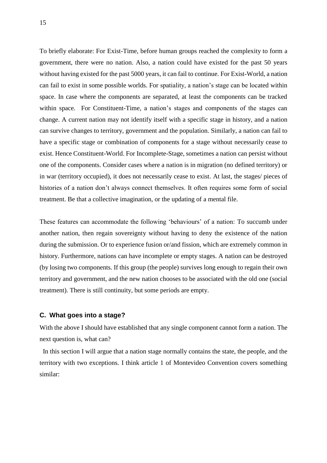To briefly elaborate: For Exist-Time, before human groups reached the complexity to form a government, there were no nation. Also, a nation could have existed for the past 50 years without having existed for the past 5000 years, it can fail to continue. For Exist-World, a nation can fail to exist in some possible worlds. For spatiality, a nation's stage can be located within space. In case where the components are separated, at least the components can be tracked within space. For Constituent-Time, a nation's stages and components of the stages can change. A current nation may not identify itself with a specific stage in history, and a nation can survive changes to territory, government and the population. Similarly, a nation can fail to have a specific stage or combination of components for a stage without necessarily cease to exist. Hence Constituent-World. For Incomplete-Stage, sometimes a nation can persist without one of the components. Consider cases where a nation is in migration (no defined territory) or in war (territory occupied), it does not necessarily cease to exist. At last, the stages/ pieces of histories of a nation don't always connect themselves. It often requires some form of social treatment. Be that a collective imagination, or the updating of a mental file.

These features can accommodate the following 'behaviours' of a nation: To succumb under another nation, then regain sovereignty without having to deny the existence of the nation during the submission. Or to experience fusion or/and fission, which are extremely common in history. Furthermore, nations can have incomplete or empty stages. A nation can be destroyed (by losing two components. If this group (the people) survives long enough to regain their own territory and government, and the new nation chooses to be associated with the old one (social treatment). There is still continuity, but some periods are empty.

#### **C. What goes into a stage?**

With the above I should have established that any single component cannot form a nation. The next question is, what can?

 In this section I will argue that a nation stage normally contains the state, the people, and the territory with two exceptions. I think article 1 of Montevideo Convention covers something similar: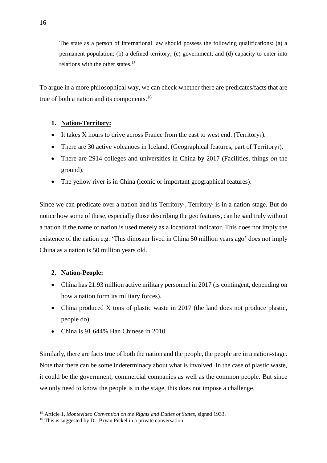The state as a person of international law should possess the following qualifications: (a) a permanent population; (b) a defined territory; (c) government; and (d) capacity to enter into relations with the other states.<sup>15</sup>

To argue in a more philosophical way, we can check whether there are predicates/facts that are true of both a nation and its components. 16

## **1. Nation-Territory:**

- It takes X hours to drive across France from the east to west end. (Territory<sub>1</sub>).
- There are 30 active volcanoes in Iceland. (Geographical features, part of Territory<sub>1</sub>).
- There are 2914 colleges and universities in China by 2017 (Facilities, things *on* the ground).
- The yellow river is in China (iconic or important geographical features).

Since we can predicate over a nation and its Territory<sub>1</sub>, Territory<sub>1</sub> is in a nation-stage. But do notice how some of these, especially those describing the geo features, can be said truly without a nation if the name of nation is used merely as a locational indicator. This does not imply the existence of the nation e.g. 'This dinosaur lived in China 50 million years ago' does not imply China as a nation is 50 million years old.

## **2. Nation-People:**

1

- China has 21.93 million active military personnel in 2017 (is contingent, depending on how a nation form its military forces).
- China produced X tons of plastic waste in 2017 (the land does not produce plastic, people do).
- China is 91.644% Han Chinese in 2010.

Similarly, there are facts true of both the nation and the people, the people are in a nation-stage. Note that there can be some indeterminacy about what is involved. In the case of plastic waste, it could be the government, commercial companies as well as the common people. But since we only need to know the people is in the stage, this does not impose a challenge.

<sup>15</sup> Article 1, *Montevideo Convention on the Rights and Duties of States*, signed 1933.

<sup>&</sup>lt;sup>16</sup> This is suggested by Dr. Bryan Pickel in a private conversation.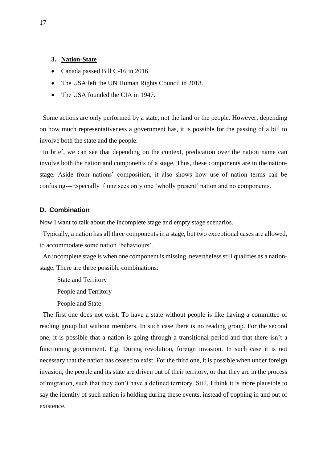## **3. Nation-State**

- Canada passed Bill C-16 in 2016.
- The USA left the UN Human Rights Council in 2018.
- The USA founded the CIA in 1947.

 Some actions are only performed by a state, not the land or the people. However, depending on how much representativeness a government has, it is possible for the passing of a bill to involve both the state and the people.

 In brief, we can see that depending on the context, predication over the nation name can involve both the nation and components of a stage. Thus, these components are in the nationstage. Aside from nations' composition, it also shows how use of nation terms can be confusing---Especially if one sees only one 'wholly present' nation and no components.

### **D. Combination**

Now I want to talk about the incomplete stage and empty stage scenarios.

 Typically, a nation has all three components in a stage, but two exceptional cases are allowed, to accommodate some nation 'behaviours'.

An incomplete stage is when one component is missing, nevertheless still qualifies as a nationstage. There are three possible combinations:

- − State and Territory
- − People and Territory
- − People and State

 The first one does not exist. To have a state without people is like having a committee of reading group but without members. In such case there is no reading group. For the second one, it is possible that a nation is going through a transitional period and that there isn't a functioning government. E.g. During revolution, foreign invasion. In such case it is not necessary that the nation has ceased to exist. For the third one, it is possible when under foreign invasion, the people and its state are driven out of their territory, or that they are in the process of migration, such that they don't have a defined territory. Still, I think it is more plausible to say the identity of such nation is holding during these events, instead of popping in and out of existence.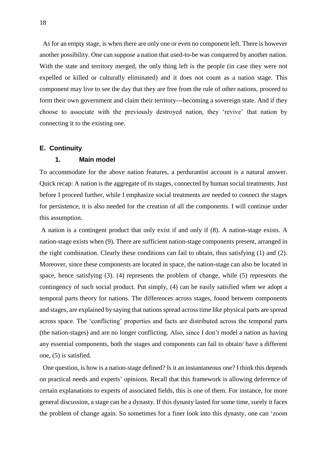As for an empty stage, is when there are only one or even no component left. There is however another possibility. One can suppose a nation that used-to-be was conquered by another nation. With the state and territory merged, the only thing left is the people (in case they were not expelled or killed or culturally eliminated) and it does not count as a nation stage. This component may live to see the day that they are free from the rule of other nations, proceed to form their own government and claim their territory---becoming a sovereign state. And if they choose to associate with the previously destroyed nation, they 'revive' that nation by connecting it to the existing one.

### **E. Continuity**

## **1. Main model**

To accommodate for the above nation features, a perdurantist account is a natural answer. Quick recap: A nation is the aggregate of its stages, connected by human social treatments. Just before I proceed further, while I emphasize social treatments are needed to connect the stages for persistence, it is also needed for the creation of all the components. I will continue under this assumption.

A nation is a contingent product that only exist if and only if (8). A nation-stage exists. A nation-stage exists when (9). There are sufficient nation-stage components present, arranged in the right combination. Clearly these conditions can fail to obtain, thus satisfying (1) and (2). Moreover, since these components are located in space, the nation-stage can also be located in space, hence satisfying (3). (4) represents the problem of change, while (5) represents the contingency of such social product. Put simply, (4) can be easily satisfied when we adopt a temporal parts theory for nations. The differences across stages, found between components and stages, are explained by saying that nations spread across time like physical parts are spread across space. The 'conflicting' properties and facts are distributed across the temporal parts (the nation-stages) and are no longer conflicting. Also, since I don't model a nation as having any essential components, both the stages and components can fail to obtain/ have a different one, (5) is satisfied.

 One question, is how is a nation-stage defined? Is it an instantaneous one? I think this depends on practical needs and experts' opinions. Recall that this framework is allowing deference of certain explanations to experts of associated fields, this is one of them. For instance, for more general discussion, a stage can be a dynasty. If this dynasty lasted for some time, surely it faces the problem of change again. So sometimes for a finer look into this dynasty, one can 'zoom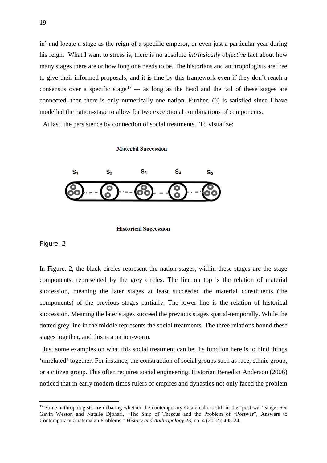in' and locate a stage as the reign of a specific emperor, or even just a particular year during his reign. What I want to stress is, there is no absolute *intrinsically objective* fact about how many stages there are or how long one needs to be. The historians and anthropologists are free to give their informed proposals, and it is fine by this framework even if they don't reach a consensus over a specific stage<sup>17</sup> --- as long as the head and the tail of these stages are connected, then there is only numerically one nation. Further, (6) is satisfied since I have modelled the nation-stage to allow for two exceptional combinations of components.

At last, the persistence by connection of social treatments. To visualize:

#### **Material Succession**



#### **Historical Succession**

#### Figure. 2

<u>.</u>

In Figure. 2, the black circles represent the nation-stages, within these stages are the stage components, represented by the grey circles. The line on top is the relation of material succession, meaning the later stages at least succeeded the material constituents (the components) of the previous stages partially. The lower line is the relation of historical succession. Meaning the later stages succeed the previous stages spatial-temporally. While the dotted grey line in the middle represents the social treatments. The three relations bound these stages together, and this is a nation-worm.

 Just some examples on what this social treatment can be. Its function here is to bind things 'unrelated' together. For instance, the construction of social groups such as race, ethnic group, or a citizen group. This often requires social engineering. Historian Benedict Anderson (2006) noticed that in early modern times rulers of empires and dynasties not only faced the problem

<sup>&</sup>lt;sup>17</sup> Some anthropologists are debating whether the contemporary Guatemala is still in the 'post-war' stage. See Gavin Weston and Natalie Djohari, "The Ship of Theseus and the Problem of "Postwar", Answers to Contemporary Guatemalan Problems," *History and Anthropology* 23, no. 4 (2012): 405-24.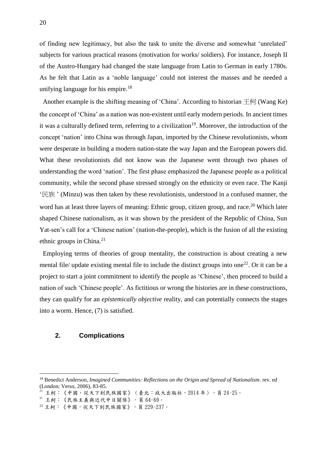of finding new legitimacy, but also the task to unite the diverse and somewhat 'unrelated' subjects for various practical reasons (motivation for works/ soldiers). For instance, Joseph II of the Austro-Hungary had changed the state language from Latin to German in early 1780s. As he felt that Latin as a 'noble language' could not interest the masses and he needed a unifying language for his empire.<sup>18</sup>

Another example is the shifting meaning of 'China'. According to historian  $\pm \overline{\uparrow}$  (Wang Ke) the concept of 'China' as a nation was non-existent until early modern periods. In ancient times it was a culturally defined term, referring to a civilization<sup>19</sup>. Moreover, the introduction of the concept 'nation' into China was through Japan, imported by the Chinese revolutionists, whom were desperate in building a modern nation-state the way Japan and the European powers did. What these revolutionists did not know was the Japanese went through two phases of understanding the word 'nation'. The first phase emphasized the Japanese people as a political community, while the second phase stressed strongly on the ethnicity or even race. The Kanji '民族 ' (Minzu) was then taken by these revolutionists, understood in a confused manner, the word has at least three layers of meaning: Ethnic group, citizen group, and race.<sup>20</sup> Which later shaped Chinese nationalism, as it was shown by the president of the Republic of China, Sun Yat-sen's call for a 'Chinese nation' (nation-the-people), which is the fusion of all the existing ethnic groups in China.<sup>21</sup>

 Employing terms of theories of group mentality, the construction is about creating a new mental file/ update existing mental file to include the distinct groups into one<sup>22</sup>. Or it can be a project to start a joint commitment to identify the people as 'Chinese', then proceed to build a nation of such 'Chinese people'. As fictitious or wrong the histories are in these constructions, they can qualify for an *epistemically objective* reality, and can potentially connects the stages into a worm. Hence, (7) is satisfied.

## **2. Complications**

<sup>18</sup> Benedict Anderson, *Imagined Communities: Reflections on the Origin and Spread of Nationalism*. rev. ed (London: Verso, 2006), 83-85.

王柯:《中國,從天下到民族國家》(臺北:政大出版社,2014年),頁 24-25。

 $20$  王柯:《民族主義與近代中日關係》,頁 $64-69$ 。

 $21$ 王柯:《中國,從天下到民族國家》,頁 229-237。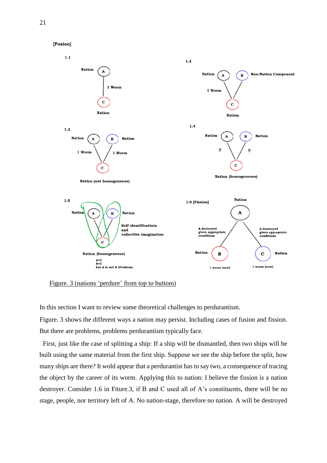

Figure. 3 (nations 'perdure' from top to buttom)

In this section I want to review some theoretical challenges to perdurantism.

Figure. 3 shows the different ways a nation may persist. Including cases of fusion and fission. But there are problems, problems perdurantism typically face.

 First, just like the case of splitting a ship: If a ship will be dismantled, then two ships will be built using the same material from the first ship. Suppose we see the ship before the split, how many ships are there? It wold appear that a perdurantist has to say two, a consequence of tracing the object by the career of its worm. Applying this to nation: I believe the fission is a nation destroyer. Consider 1.6 in Fiture.3, if B and C used all of A's constituents, there will be no stage, people, nor territory left of A. No nation-stage, therefore no nation. A will be destroyed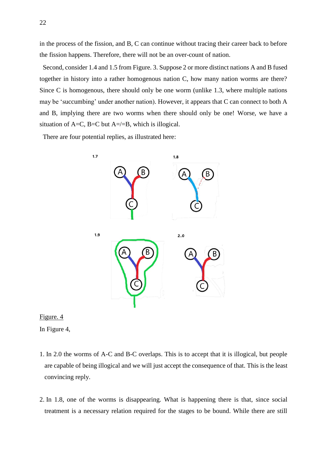in the process of the fission, and B, C can continue without tracing their career back to before the fission happens. Therefore, there will not be an over-count of nation.

 Second, consider 1.4 and 1.5 from Figure. 3. Suppose 2 or more distinct nations A and B fused together in history into a rather homogenous nation C, how many nation worms are there? Since C is homogenous, there should only be one worm (unlike 1.3, where multiple nations may be 'succumbing' under another nation). However, it appears that C can connect to both A and B, implying there are two worms when there should only be one! Worse, we have a situation of  $A=C$ ,  $B=C$  but  $A=\angle-B$ , which is illogical.

There are four potential replies, as illustrated here:



Figure. 4

In Figure 4,

- 1. In 2.0 the worms of A-C and B-C overlaps. This is to accept that it is illogical, but people are capable of being illogical and we will just accept the consequence of that. This is the least convincing reply.
- 2. In 1.8, one of the worms is disappearing. What is happening there is that, since social treatment is a necessary relation required for the stages to be bound. While there are still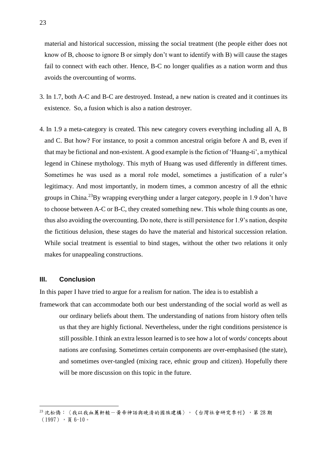material and historical succession, missing the social treatment (the people either does not know of B, choose to ignore B or simply don't want to identify with B) will cause the stages fail to connect with each other. Hence, B-C no longer qualifies as a nation worm and thus avoids the overcounting of worms.

- 3. In 1.7, both A-C and B-C are destroyed. Instead, a new nation is created and it continues its existence. So, a fusion which is also a nation destroyer.
- 4. In 1.9 a meta-category is created. This new category covers everything including all A, B and C. But how? For instance, to posit a common ancestral origin before A and B, even if that may be fictional and non-existent. A good example is the fiction of 'Huang-ti', a mythical legend in Chinese mythology. This myth of Huang was used differently in different times. Sometimes he was used as a moral role model, sometimes a justification of a ruler's legitimacy. And most importantly, in modern times, a common ancestry of all the ethnic groups in China.<sup>23</sup>By wrapping everything under a larger category, people in 1.9 don't have to choose between A-C or B-C, they created something new. This whole thing counts as one, thus also avoiding the overcounting. Do note, there is still persistence for 1.9's nation, despite the fictitious delusion, these stages do have the material and historical succession relation. While social treatment is essential to bind stages, without the other two relations it only makes for unappealing constructions.

## **III. Conclusion**

1

In this paper I have tried to argue for a realism for nation. The idea is to establish a

framework that can accommodate both our best understanding of the social world as well as our ordinary beliefs about them. The understanding of nations from history often tells us that they are highly fictional. Nevertheless, under the right conditions persistence is still possible. I think an extra lesson learned is to see how a lot of words/ concepts about nations are confusing. Sometimes certain components are over-emphasised (the state), and sometimes over-tangled (mixing race, ethnic group and citizen). Hopefully there will be more discussion on this topic in the future.

<sup>23</sup> 沈松僑:〈我以我血薦軒轅一黃帝神話與晚清的國族建構〉,《台灣社會研究季刊》,第28期  $(1997)$ , 頁 6-10。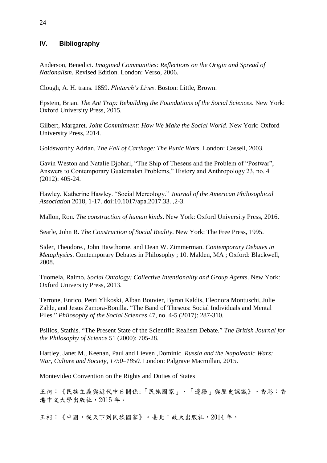## **IV. Bibliography**

Anderson, Benedict. *Imagined Communities: Reflections on the Origin and Spread of Nationalism*. Revised Edition. London: Verso, 2006.

Clough, A. H. trans. 1859. *Plutarch's Lives*. Boston: Little, Brown.

Epstein, Brian. *The Ant Trap: Rebuilding the Foundations of the Social Sciences*. New York: Oxford University Press, 2015.

Gilbert, Margaret. *Joint Commitment: How We Make the Social World*. New York: Oxford University Press, 2014.

Goldsworthy Adrian. *The Fall of Carthage: The Punic Wars*. London: Cassell, 2003.

Gavin Weston and Natalie Djohari, "The Ship of Theseus and the Problem of "Postwar", Answers to Contemporary Guatemalan Problems," History and Anthropology 23, no. 4 (2012): 405-24.

Hawley, Katherine Hawley. "Social Mereology." *Journal of the American Philosophical Association* 2018, 1-17. doi:10.1017/apa.2017.33. ,2-3.

Mallon, Ron. *The construction of human kinds*. New York: Oxford University Press, 2016.

Searle, John R. *The Construction of Social Reality*. New York: The Free Press, 1995.

Sider, Theodore., John Hawthorne, and Dean W. Zimmerman. *Contemporary Debates in Metaphysics*. Contemporary Debates in Philosophy ; 10. Malden, MA ; Oxford: Blackwell, 2008.

Tuomela, Raimo. *Social Ontology: Collective Intentionality and Group Agents*. New York: Oxford University Press, 2013.

Terrone, Enrico, Petri Ylikoski, Alban Bouvier, Byron Kaldis, Eleonora Montuschi, Julie Zahle, and Jesus Zamora-Bonilla. "The Band of Theseus: Social Individuals and Mental Files." *Philosophy of the Social Sciences* 47, no. 4-5 (2017): 287-310.

Psillos, Stathis. "The Present State of the Scientific Realism Debate." *The British Journal for the Philosophy of Science* 51 (2000): 705-28.

Hartley, Janet M., Keenan, Paul and Lieven ,Dominic. *Russia and the Napoleonic Wars: War, Culture and Society, 1750–1850.* London: Palgrave Macmillan, 2015.

Montevideo Convention on the Rights and Duties of States

王柯:《民族主義與近代中日關係:「民族國家」、「邊疆」與歷史認識》。香港:香 港中文大學出版社,2015 年。

王柯:《中國,從天下到民族國家》。臺北:政大出版社,2014 年。